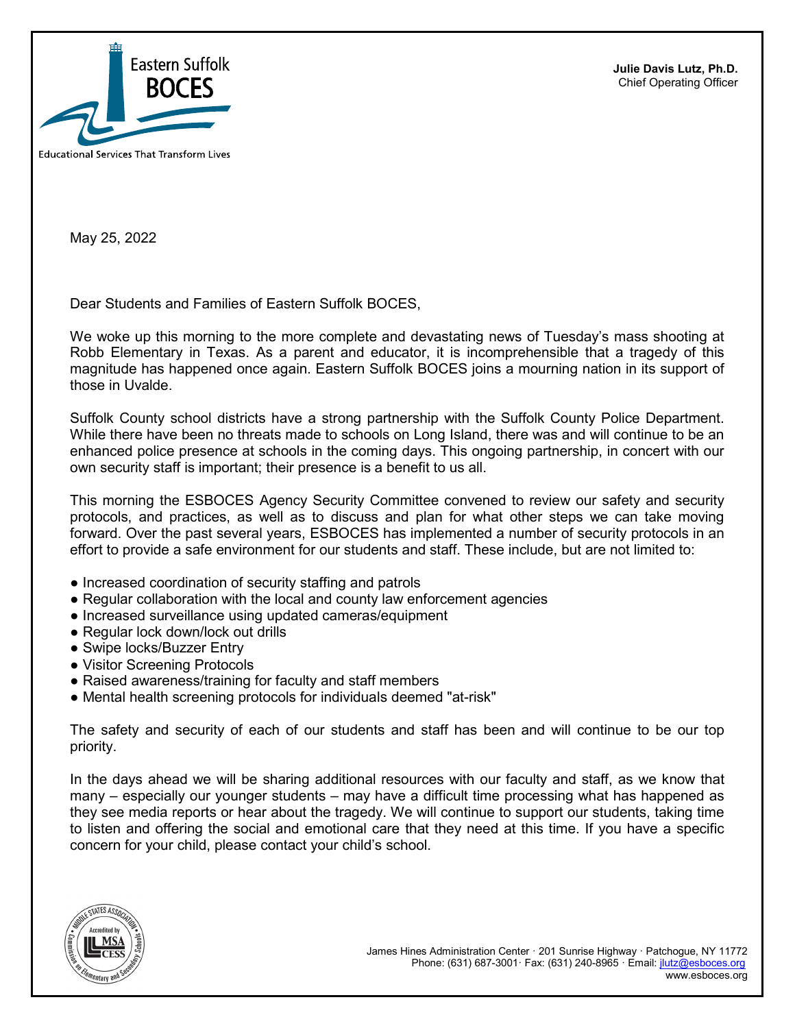

**Julie Davis Lutz, Ph.D.** Chief Operating Officer

May 25, 2022

Dear Students and Families of Eastern Suffolk BOCES,

We woke up this morning to the more complete and devastating news of Tuesday's mass shooting at Robb Elementary in Texas. As a parent and educator, it is incomprehensible that a tragedy of this magnitude has happened once again. Eastern Suffolk BOCES joins a mourning nation in its support of those in Uvalde.

Suffolk County school districts have a strong partnership with the Suffolk County Police Department. While there have been no threats made to schools on Long Island, there was and will continue to be an enhanced police presence at schools in the coming days. This ongoing partnership, in concert with our own security staff is important; their presence is a benefit to us all.

This morning the ESBOCES Agency Security Committee convened to review our safety and security protocols, and practices, as well as to discuss and plan for what other steps we can take moving forward. Over the past several years, ESBOCES has implemented a number of security protocols in an effort to provide a safe environment for our students and staff. These include, but are not limited to:

- Increased coordination of security staffing and patrols
- Regular collaboration with the local and county law enforcement agencies
- Increased surveillance using updated cameras/equipment
- Regular lock down/lock out drills
- Swipe locks/Buzzer Entry
- Visitor Screening Protocols
- Raised awareness/training for faculty and staff members
- Mental health screening protocols for individuals deemed "at-risk"

The safety and security of each of our students and staff has been and will continue to be our top priority.

In the days ahead we will be sharing additional resources with our faculty and staff, as we know that many – especially our younger students – may have a difficult time processing what has happened as they see media reports or hear about the tragedy. We will continue to support our students, taking time to listen and offering the social and emotional care that they need at this time. If you have a specific concern for your child, please contact your child's school.